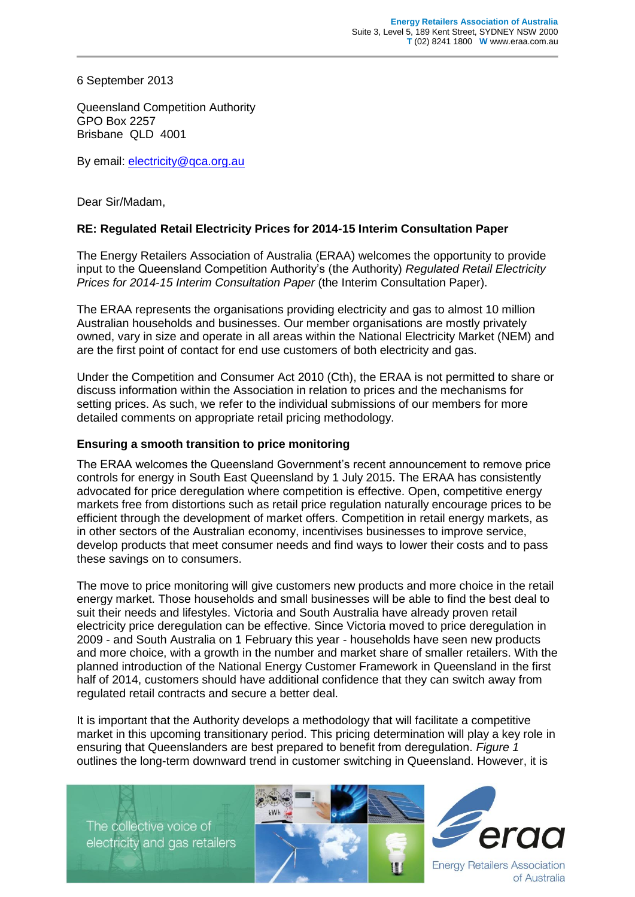6 September 2013

Queensland Competition Authority GPO Box 2257 Brisbane QLD 4001

By email: [electricity@qca.org.au](mailto:electricity@qca.org.au)

Dear Sir/Madam,

## **RE: Regulated Retail Electricity Prices for 2014-15 Interim Consultation Paper**

The Energy Retailers Association of Australia (ERAA) welcomes the opportunity to provide input to the Queensland Competition Authority's (the Authority) *Regulated Retail Electricity Prices for 2014-15 Interim Consultation Paper* (the Interim Consultation Paper).

The ERAA represents the organisations providing electricity and gas to almost 10 million Australian households and businesses. Our member organisations are mostly privately owned, vary in size and operate in all areas within the National Electricity Market (NEM) and are the first point of contact for end use customers of both electricity and gas.

Under the Competition and Consumer Act 2010 (Cth), the ERAA is not permitted to share or discuss information within the Association in relation to prices and the mechanisms for setting prices. As such, we refer to the individual submissions of our members for more detailed comments on appropriate retail pricing methodology.

## **Ensuring a smooth transition to price monitoring**

The ERAA welcomes the Queensland Government's recent announcement to remove price controls for energy in South East Queensland by 1 July 2015. The ERAA has consistently advocated for price deregulation where competition is effective. Open, competitive energy markets free from distortions such as retail price regulation naturally encourage prices to be efficient through the development of market offers. Competition in retail energy markets, as in other sectors of the Australian economy, incentivises businesses to improve service, develop products that meet consumer needs and find ways to lower their costs and to pass these savings on to consumers.

The move to price monitoring will give customers new products and more choice in the retail energy market. Those households and small businesses will be able to find the best deal to suit their needs and lifestyles. Victoria and South Australia have already proven retail electricity price deregulation can be effective. Since Victoria moved to price deregulation in 2009 - and South Australia on 1 February this year - households have seen new products and more choice, with a growth in the number and market share of smaller retailers. With the planned introduction of the National Energy Customer Framework in Queensland in the first half of 2014, customers should have additional confidence that they can switch away from regulated retail contracts and secure a better deal.

It is important that the Authority develops a methodology that will facilitate a competitive market in this upcoming transitionary period. This pricing determination will play a key role in ensuring that Queenslanders are best prepared to benefit from deregulation. *Figure 1* outlines the long-term downward trend in customer switching in Queensland. However, it is

The collective voice of electricity and gas retailers





**Energy Retailers Association** of Australia